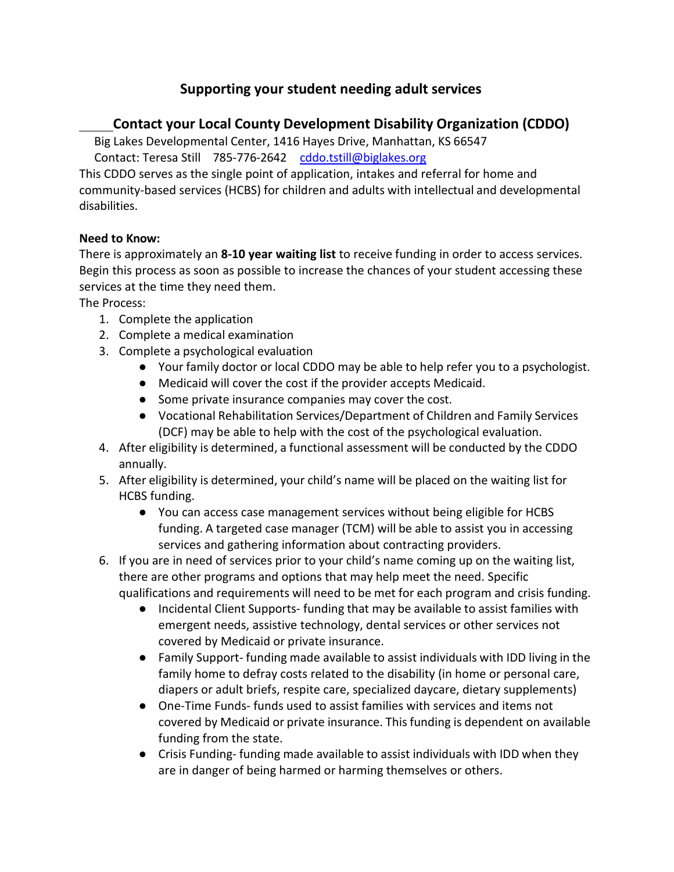# **Supporting your student needing adult services**

## **Contact your Local County Development Disability Organization (CDDO)**

Big Lakes Developmental Center, 1416 Hayes Drive, Manhattan, KS 66547 Contact: Teresa Still 785-776-2642 [cddo.tstill@biglakes.org](mailto:cddo.tstill@biglakes.org)

This CDDO serves as the single point of application, intakes and referral for home and community-based services (HCBS) for children and adults with intellectual and developmental disabilities.

#### **Need to Know:**

There is approximately an **8-10 year waiting list** to receive funding in order to access services. Begin this process as soon as possible to increase the chances of your student accessing these services at the time they need them.

The Process:

- 1. Complete the application
- 2. Complete a medical examination
- 3. Complete a psychological evaluation
	- Your family doctor or local CDDO may be able to help refer you to a psychologist.
	- Medicaid will cover the cost if the provider accepts Medicaid.
	- Some private insurance companies may cover the cost.
	- Vocational Rehabilitation Services/Department of Children and Family Services (DCF) may be able to help with the cost of the psychological evaluation.
- 4. After eligibility is determined, a functional assessment will be conducted by the CDDO annually.
- 5. After eligibility is determined, your child's name will be placed on the waiting list for HCBS funding.
	- You can access case management services without being eligible for HCBS funding. A targeted case manager (TCM) will be able to assist you in accessing services and gathering information about contracting providers.
- 6. If you are in need of services prior to your child's name coming up on the waiting list, there are other programs and options that may help meet the need. Specific qualifications and requirements will need to be met for each program and crisis funding.
	- Incidental Client Supports- funding that may be available to assist families with emergent needs, assistive technology, dental services or other services not covered by Medicaid or private insurance.
	- Family Support- funding made available to assist individuals with IDD living in the family home to defray costs related to the disability (in home or personal care, diapers or adult briefs, respite care, specialized daycare, dietary supplements)
	- One-Time Funds- funds used to assist families with services and items not covered by Medicaid or private insurance. This funding is dependent on available funding from the state.
	- Crisis Funding- funding made available to assist individuals with IDD when they are in danger of being harmed or harming themselves or others.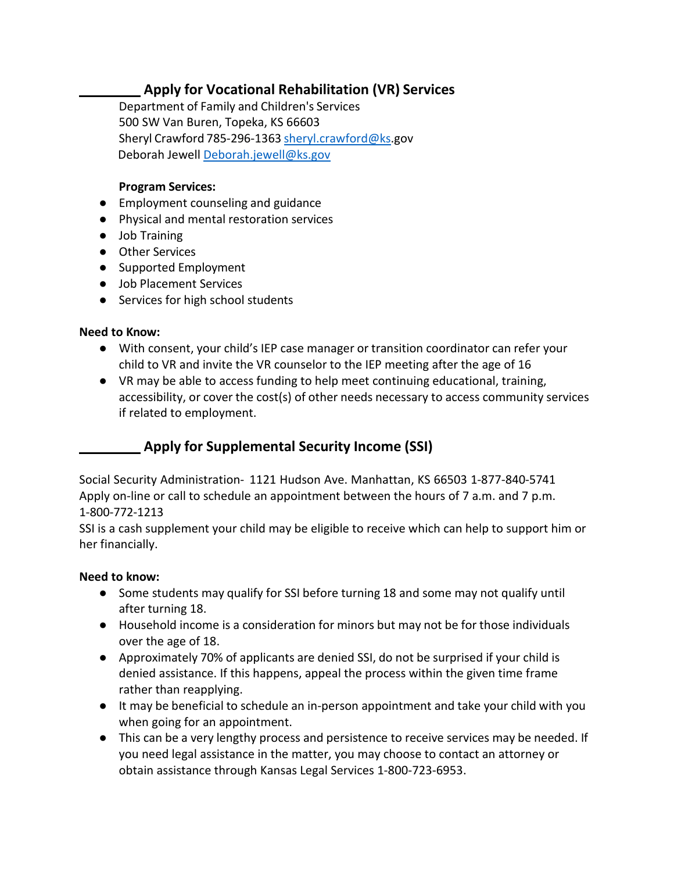## **Apply for Vocational Rehabilitation (VR) Services**

Department of Family and Children's Services 500 SW Van Buren, Topeka, KS 66603 Sheryl Crawford 785-296-1363 [sheryl.crawford@ks.gov](mailto:sheryl.crawford@ks.gov) Deborah Jewell [Deborah.jewell@ks.gov](mailto:Deborah.jewell@ks.gov)

#### **Program Services:**

- Employment counseling and guidance
- Physical and mental restoration services
- Job Training
- Other Services
- Supported Employment
- Job Placement Services
- Services for high school students

#### **Need to Know:**

- With consent, your child's IEP case manager or transition coordinator can refer your child to VR and invite the VR counselor to the IEP meeting after the age of 16
- VR may be able to access funding to help meet continuing educational, training, accessibility, or cover the cost(s) of other needs necessary to access community services if related to employment.

# **Apply for Supplemental Security Income (SSI)**

Social Security Administration- 1121 Hudson Ave. Manhattan, KS 66503 1-877-840-5741 Apply on-line or call to schedule an appointment between the hours of 7 a.m. and 7 p.m. 1-800-772-1213

SSI is a cash supplement your child may be eligible to receive which can help to support him or her financially.

#### **Need to know:**

- Some students may qualify for SSI before turning 18 and some may not qualify until after turning 18.
- Household income is a consideration for minors but may not be for those individuals over the age of 18.
- Approximately 70% of applicants are denied SSI, do not be surprised if your child is denied assistance. If this happens, appeal the process within the given time frame rather than reapplying.
- It may be beneficial to schedule an in-person appointment and take your child with you when going for an appointment.
- This can be a very lengthy process and persistence to receive services may be needed. If you need legal assistance in the matter, you may choose to contact an attorney or obtain assistance through Kansas Legal Services 1-800-723-6953.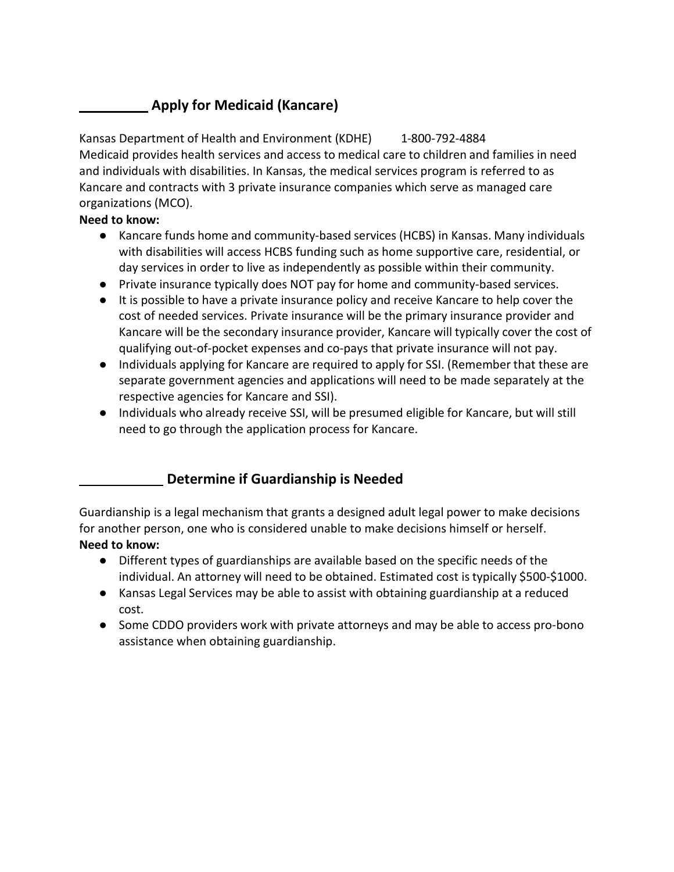# **Apply for Medicaid (Kancare)**

Kansas Department of Health and Environment (KDHE) 1-800-792-4884 Medicaid provides health services and access to medical care to children and families in need and individuals with disabilities. In Kansas, the medical services program is referred to as Kancare and contracts with 3 private insurance companies which serve as managed care organizations (MCO).

### **Need to know:**

- Kancare funds home and community-based services (HCBS) in Kansas. Many individuals with disabilities will access HCBS funding such as home supportive care, residential, or day services in order to live as independently as possible within their community.
- Private insurance typically does NOT pay for home and community-based services.
- It is possible to have a private insurance policy and receive Kancare to help cover the cost of needed services. Private insurance will be the primary insurance provider and Kancare will be the secondary insurance provider, Kancare will typically cover the cost of qualifying out-of-pocket expenses and co-pays that private insurance will not pay.
- Individuals applying for Kancare are required to apply for SSI. (Remember that these are separate government agencies and applications will need to be made separately at the respective agencies for Kancare and SSI).
- Individuals who already receive SSI, will be presumed eligible for Kancare, but will still need to go through the application process for Kancare.

# **Determine if Guardianship is Needed**

Guardianship is a legal mechanism that grants a designed adult legal power to make decisions for another person, one who is considered unable to make decisions himself or herself. **Need to know:**

- Different types of guardianships are available based on the specific needs of the individual. An attorney will need to be obtained. Estimated cost is typically \$500-\$1000.
- Kansas Legal Services may be able to assist with obtaining guardianship at a reduced cost.
- Some CDDO providers work with private attorneys and may be able to access pro-bono assistance when obtaining guardianship.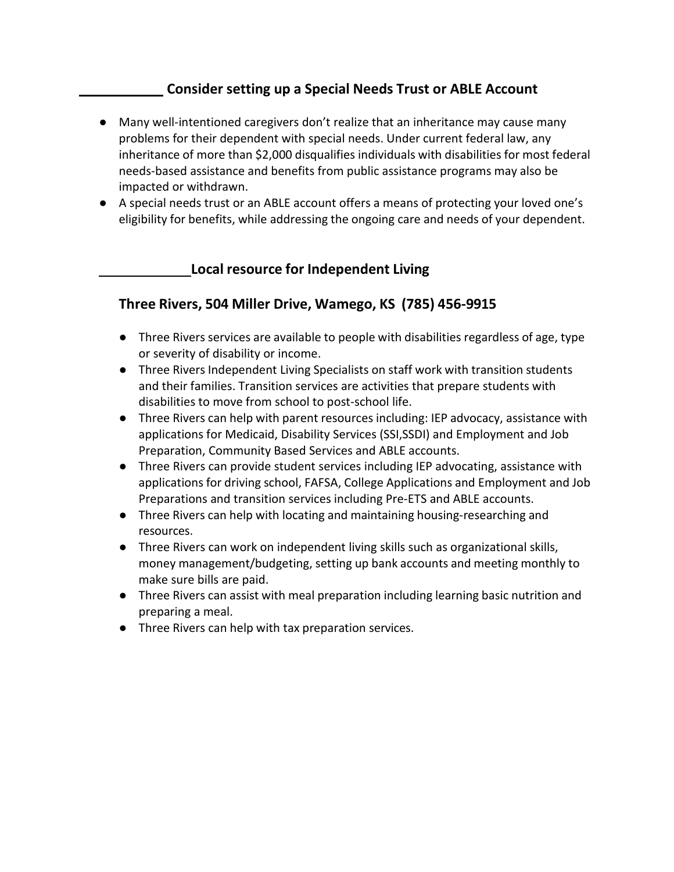## **Consider setting up a Special Needs Trust or ABLE Account**

- Many well-intentioned caregivers don't realize that an inheritance may cause many problems for their dependent with special needs. Under current federal law, any inheritance of more than \$2,000 disqualifies individuals with disabilities for most federal needs-based assistance and benefits from public assistance programs may also be impacted or withdrawn.
- A special needs trust or an ABLE account offers a means of protecting your loved one's eligibility for benefits, while addressing the ongoing care and needs of your dependent.

### **Local resource for Independent Living**

## **Three Rivers, 504 Miller Drive, Wamego, KS (785) 456-9915**

- Three Rivers services are available to people with disabilities regardless of age, type or severity of disability or income.
- Three Rivers Independent Living Specialists on staff work with transition students and their families. Transition services are activities that prepare students with disabilities to move from school to post-school life.
- Three Rivers can help with parent resources including: IEP advocacy, assistance with applications for Medicaid, Disability Services (SSI,SSDI) and Employment and Job Preparation, Community Based Services and ABLE accounts.
- Three Rivers can provide student services including IEP advocating, assistance with applications for driving school, FAFSA, College Applications and Employment and Job Preparations and transition services including Pre-ETS and ABLE accounts.
- Three Rivers can help with locating and maintaining housing-researching and resources.
- Three Rivers can work on independent living skills such as organizational skills, money management/budgeting, setting up bank accounts and meeting monthly to make sure bills are paid.
- Three Rivers can assist with meal preparation including learning basic nutrition and preparing a meal.
- Three Rivers can help with tax preparation services.